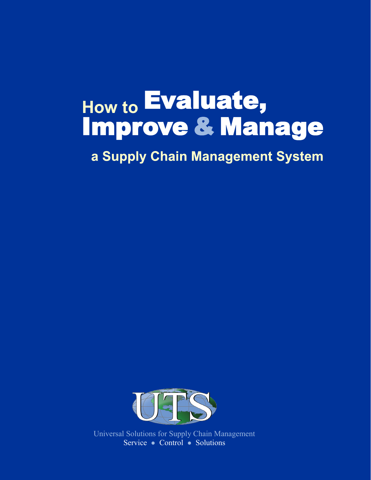# Evaluate, **How to**Improve & Manage

a Supply Chain Management System



Universal Solutions for Supply Chain Management Service ● Control ● Solutions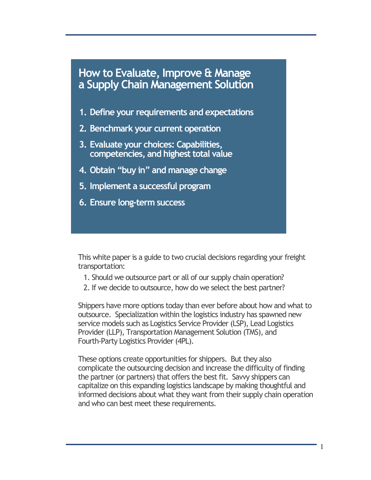- **1. Define your requirements and expectations**
- **2. Benchmark your current operation**
- **3. Evaluate your choices: Capabilities, competencies, and highest total value**
- **4. Obtain "buy in" and manage change**
- **5. Implement a successful program**
- **6. Ensure long-term success**

This white paper is a guide to two crucial decisions regarding your freight transportation:

- 1. Should we outsource part or all of our supply chain operation?
- 2. If we decide to outsource, how do we select the best partner?

Shippers have more options today than ever before about how and what to outsource. Specialization within the logistics industry has spawned new service models such as Logistics Service Provider (LSP), Lead Logistics Provider (LLP), Transportation Management Solution (TMS), and Fourth-Party Logistics Provider (4PL).

These options create opportunities for shippers. But they also complicate the outsourcing decision and increase the difficulty of finding the partner (or partners) that offers the best fit. Savvy shippers can capitalize on this expanding logistics landscape by making thoughtful and informed decisions about what they want from their supply chain operation and who can best meet these requirements.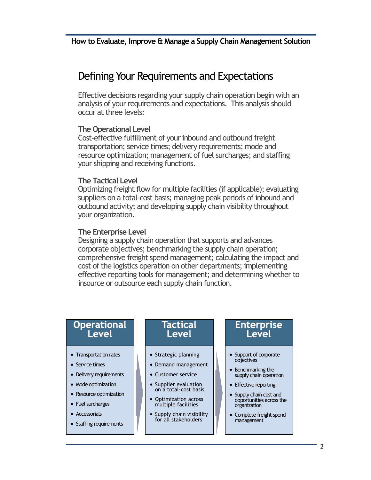# Defining Your Requirements and Expectations

Effective decisions regarding your supply chain operation begin with an analysis of your requirements and expectations. This analysis should occur at three levels:

#### **The Operational Level**

Cost-effective fulfillment of your inbound and outbound freight transportation; service times; delivery requirements; mode and resource optimization; management of fuel surcharges; and staffing your shipping and receiving functions.

#### **The Tactical Level**

Optimizing freight flow for multiple facilities (if applicable); evaluating suppliers on a total-cost basis; managing peak periods of inbound and outbound activity; and developing supply chain visibility throughout your organization.

#### **The Enterprise Level**

Designing a supply chain operation that supports and advances corporate objectives; benchmarking the supply chain operation; comprehensive freight spend management; calculating the impact and cost of the logistics operation on other departments; implementing effective reporting tools for management; and determining whether to insource or outsource each supply chain function.

## **Operational** Level

- Transportation rates
- Service times
- Delivery requirements
- Mode optimization
- Resource optimization
- Fuel surcharges
- Accessorials
- Staffing requirements

## Tactical Level

- Strategic planning
- Demand management
- Customer service
- Supplier evaluation on a total-cost basis
- Optimization across multiple facilities
- Supply chain visibility for all stakeholders

## **Enterprise** Level

- Support of corporate objectives
- Benchmarking the supply chain operation
- Effective reporting
- Supply chain cost and opportunities across the organization
- Complete freight spend management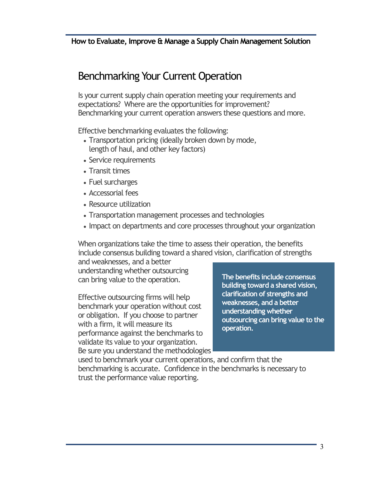# Benchmarking Your Current Operation

Is your current supply chain operation meeting your requirements and expectations? Where are the opportunities for improvement? Benchmarking your current operation answers these questions and more.

Effective benchmarking evaluates the following:

- Transportation pricing (ideally broken down by mode, length of haul, and other key factors)
- Service requirements
- Transit times
- Fuel surcharges
- Accessorial fees
- Resource utilization
- Transportation management processes and technologies
- Impact on departments and core processes throughout your organization

When organizations take the time to assess their operation, the benefits include consensus building toward a shared vision, clarification of strengths

and weaknesses, and a better understanding whether outsourcing can bring value to the operation.

Effective outsourcing firms will help benchmark your operation without cost or obligation. If you choose to partner with a firm, it will measure its performance against the benchmarks to validate its value to your organization. Be sure you understand the methodologies

**The benefits include consensus building toward a shared vision, clarification of strengths and weaknesses, and a better understanding whether outsourcing can bring value to the operation.**

used to benchmark your current operations, and confirm that the benchmarking is accurate. Confidence in the benchmarks is necessary to trust the performance value reporting.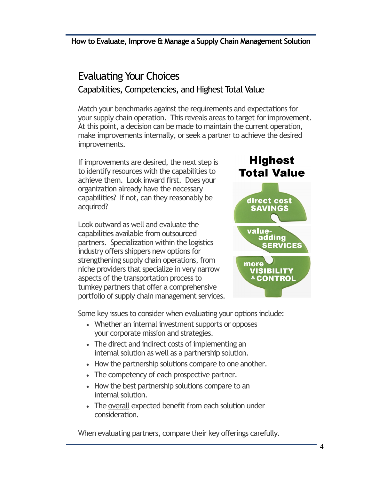# Evaluating Your Choices Capabilities, Competencies, and Highest Total Value

Match your benchmarks against the requirements and expectations for your supply chain operation. This reveals areas to target for improvement. At this point, a decision can be made to maintain the current operation, make improvements internally, or seek a partner to achieve the desired improvements.

If improvements are desired, the next step is to identify resources with the capabilities to achieve them. Look inward first. Does your organization already have the necessary capabilities? If not, can they reasonably be acquired?

Look outward as well and evaluate the capabilities available from outsourced partners. Specialization within the logistics industry offers shippers new options for strengthening supply chain operations, from niche providers that specialize in very narrow aspects of the transportation process to turnkey partners that offer a comprehensive portfolio of supply chain management services.



Some key issues to consider when evaluating your options include:

- Whether an internal investment supports or opposes your corporate mission and strategies.
- The direct and indirect costs of implementing an internal solution as well as a partnership solution.
- How the partnership solutions compare to one another.
- The competency of each prospective partner.
- How the best partnership solutions compare to an internal solution.
- The overall expected benefit from each solution under consideration.

When evaluating partners, compare their key offerings carefully.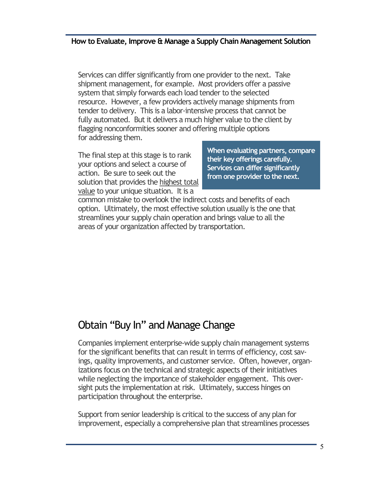Services can differ significantly from one provider to the next. Take shipment management, for example. Most providers offer a passive system that simply forwards each load tender to the selected resource. However, a few providers actively manage shipments from tender to delivery. This is a labor-intensive process that cannot be fully automated. But it delivers a much higher value to the client by flagging nonconformities sooner and offering multiple options for addressing them.

The final step at this stage is to rank your options and select a course of action. Be sure to seek out the solution that provides the highest total value to your unique situation. It is a

**When evaluating partners, compare their key offerings carefully. Services can differ significantly from one provider to the next.** 

common mistake to overlook the indirect costs and benefits of each option. Ultimately, the most effective solution usually is the one that streamlines your supply chain operation and brings value to all the areas of your organization affected by transportation.

## Obtain "Buy In" and Manage Change

Companies implement enterprise-wide supply chain management systems for the significant benefits that can result in terms of efficiency, cost savings, quality improvements, and customer service. Often, however, organizations focus on the technical and strategic aspects of their initiatives while neglecting the importance of stakeholder engagement. This oversight puts the implementation at risk. Ultimately, success hinges on participation throughout the enterprise.

Support from senior leadership is critical to the success of any plan for improvement, especially a comprehensive plan that streamlines processes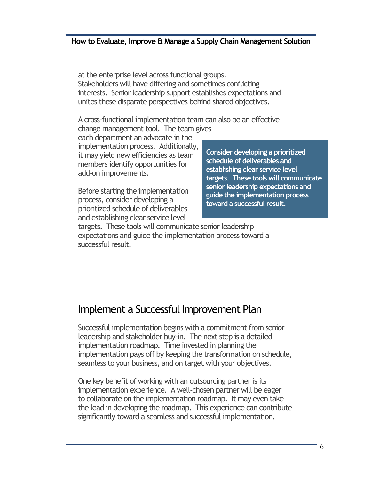at the enterprise level across functional groups. Stakeholders will have differing and sometimes conflicting interests. Senior leadership support establishes expectations and unites these disparate perspectives behind shared objectives.

A cross-functional implementation team can also be an effective

change management tool. The team gives each department an advocate in the implementation process. Additionally, it may yield new efficiencies as team members identify opportunities for add-on improvements.

Before starting the implementation process, consider developing a prioritized schedule of deliverables and establishing clear service level

**Consider developing a prioritized schedule of deliverables and establishing clear service level targets. These tools will communicate senior leadership expectations and guide the implementation process toward a successful result.**

targets. These tools will communicate senior leadership expectations and guide the implementation process toward a successful result.

## Implement a Successful Improvement Plan

Successful implementation begins with a commitment from senior leadership and stakeholder buy-in. The next step is a detailed implementation roadmap. Time invested in planning the implementation pays off by keeping the transformation on schedule, seamless to your business, and on target with your objectives.

One key benefit of working with an outsourcing partner is its implementation experience. A well-chosen partner will be eager to collaborate on the implementation roadmap. It may even take the lead in developing the roadmap. This experience can contribute significantly toward a seamless and successful implementation.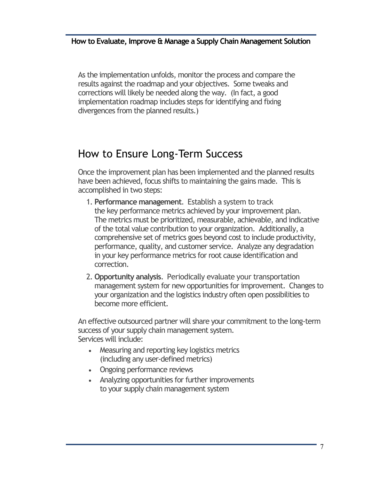As the implementation unfolds, monitor the process and compare the results against the roadmap and your objectives. Some tweaks and corrections will likely be needed along the way. (In fact, a good implementation roadmap includes steps for identifying and fixing divergences from the planned results.)

# How to Ensure Long-Term Success

Once the improvement plan has been implemented and the planned results have been achieved, focus shifts to maintaining the gains made. This is accomplished in two steps:

- 1. **Performance management**. Establish a system to track the key performance metrics achieved by your improvement plan. The metrics must be prioritized, measurable, achievable, and indicative of the total value contribution to your organization. Additionally, a comprehensive set of metrics goes beyond cost to include productivity, performance, quality, and customer service. Analyze any degradation in your key performance metrics for root cause identification and correction.
- 2. **Opportunity analysis**. Periodically evaluate your transportation management system for new opportunities for improvement. Changes to your organization and the logistics industry often open possibilities to become more efficient.

An effective outsourced partner will share your commitment to the long-term success of your supply chain management system. Services will include:

- Measuring and reporting key logistics metrics (including any user-defined metrics)
- Ongoing performance reviews
- Analyzing opportunities for further improvements to your supply chain management system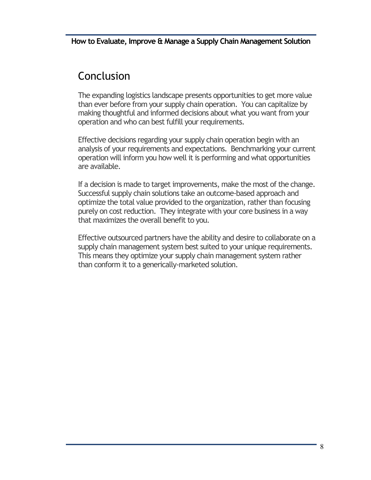# Conclusion

The expanding logistics landscape presents opportunities to get more value than ever before from your supply chain operation. You can capitalize by making thoughtful and informed decisions about what you want from your operation and who can best fulfill your requirements.

Effective decisions regarding your supply chain operation begin with an analysis of your requirements and expectations. Benchmarking your current operation will inform you how well it is performing and what opportunities are available.

If a decision is made to target improvements, make the most of the change. Successful supply chain solutions take an outcome-based approach and optimize the total value provided to the organization, rather than focusing purely on cost reduction. They integrate with your core business in a way that maximizes the overall benefit to you.

Effective outsourced partners have the ability and desire to collaborate on a supply chain management system best suited to your unique requirements. This means they optimize your supply chain management system rather than conform it to a generically-marketed solution.